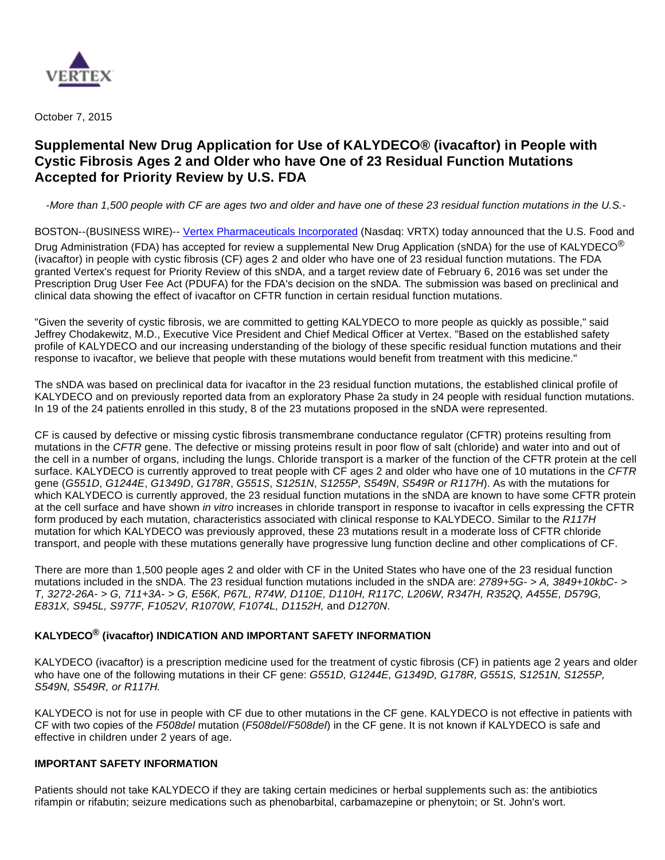

October 7, 2015

# **Supplemental New Drug Application for Use of KALYDECO® (ivacaftor) in People with Cystic Fibrosis Ages 2 and Older who have One of 23 Residual Function Mutations Accepted for Priority Review by U.S. FDA**

-More than 1,500 people with CF are ages two and older and have one of these 23 residual function mutations in the U.S.-

BOSTON--(BUSINESS WIRE)-- [Vertex Pharmaceuticals Incorporated](http://cts.businesswire.com/ct/CT?id=smartlink&url=http%3A%2F%2Fwww.vrtx.com&esheet=51196210&newsitemid=20151007006509&lan=en-US&anchor=Vertex+Pharmaceuticals+Incorporated&index=1&md5=70c20b6116d55bf9cc72fe51e10150c8) (Nasdaq: VRTX) today announced that the U.S. Food and Drug Administration (FDA) has accepted for review a supplemental New Drug Application (sNDA) for the use of KALYDECO<sup>®</sup> (ivacaftor) in people with cystic fibrosis (CF) ages 2 and older who have one of 23 residual function mutations. The FDA granted Vertex's request for Priority Review of this sNDA, and a target review date of February 6, 2016 was set under the Prescription Drug User Fee Act (PDUFA) for the FDA's decision on the sNDA. The submission was based on preclinical and clinical data showing the effect of ivacaftor on CFTR function in certain residual function mutations.

"Given the severity of cystic fibrosis, we are committed to getting KALYDECO to more people as quickly as possible," said Jeffrey Chodakewitz, M.D., Executive Vice President and Chief Medical Officer at Vertex. "Based on the established safety profile of KALYDECO and our increasing understanding of the biology of these specific residual function mutations and their response to ivacaftor, we believe that people with these mutations would benefit from treatment with this medicine."

The sNDA was based on preclinical data for ivacaftor in the 23 residual function mutations, the established clinical profile of KALYDECO and on previously reported data from an exploratory Phase 2a study in 24 people with residual function mutations. In 19 of the 24 patients enrolled in this study, 8 of the 23 mutations proposed in the sNDA were represented.

CF is caused by defective or missing cystic fibrosis transmembrane conductance regulator (CFTR) proteins resulting from mutations in the CFTR gene. The defective or missing proteins result in poor flow of salt (chloride) and water into and out of the cell in a number of organs, including the lungs. Chloride transport is a marker of the function of the CFTR protein at the cell surface. KALYDECO is currently approved to treat people with CF ages 2 and older who have one of 10 mutations in the CFTR gene (G551D, G1244E, G1349D, G178R, G551S, S1251N, S1255P, S549N, S549R or R117H). As with the mutations for which KALYDECO is currently approved, the 23 residual function mutations in the sNDA are known to have some CFTR protein at the cell surface and have shown *in vitro* increases in chloride transport in response to ivacaftor in cells expressing the CFTR form produced by each mutation, characteristics associated with clinical response to KALYDECO. Similar to the R117H mutation for which KALYDECO was previously approved, these 23 mutations result in a moderate loss of CFTR chloride transport, and people with these mutations generally have progressive lung function decline and other complications of CF.

There are more than 1,500 people ages 2 and older with CF in the United States who have one of the 23 residual function mutations included in the sNDA. The 23 residual function mutations included in the sNDA are: 2789+5G- > A, 3849+10kbC- > T, 3272-26A- > G, 711+3A- > G, E56K, P67L, R74W, D110E, D110H, R117C, L206W, R347H, R352Q, A455E, D579G, E831X, S945L, S977F, F1052V, R1070W, F1074L, D1152H, and D1270N.

### **KALYDECO® (ivacaftor) INDICATION AND IMPORTANT SAFETY INFORMATION**

KALYDECO (ivacaftor) is a prescription medicine used for the treatment of cystic fibrosis (CF) in patients age 2 years and older who have one of the following mutations in their CF gene: G551D, G1244E, G1349D, G178R, G551S, S1251N, S1255P, S549N, S549R, or R117H.

KALYDECO is not for use in people with CF due to other mutations in the CF gene. KALYDECO is not effective in patients with CF with two copies of the F508del mutation (F508del/F508del) in the CF gene. It is not known if KALYDECO is safe and effective in children under 2 years of age.

#### **IMPORTANT SAFETY INFORMATION**

Patients should not take KALYDECO if they are taking certain medicines or herbal supplements such as: the antibiotics rifampin or rifabutin; seizure medications such as phenobarbital, carbamazepine or phenytoin; or St. John's wort.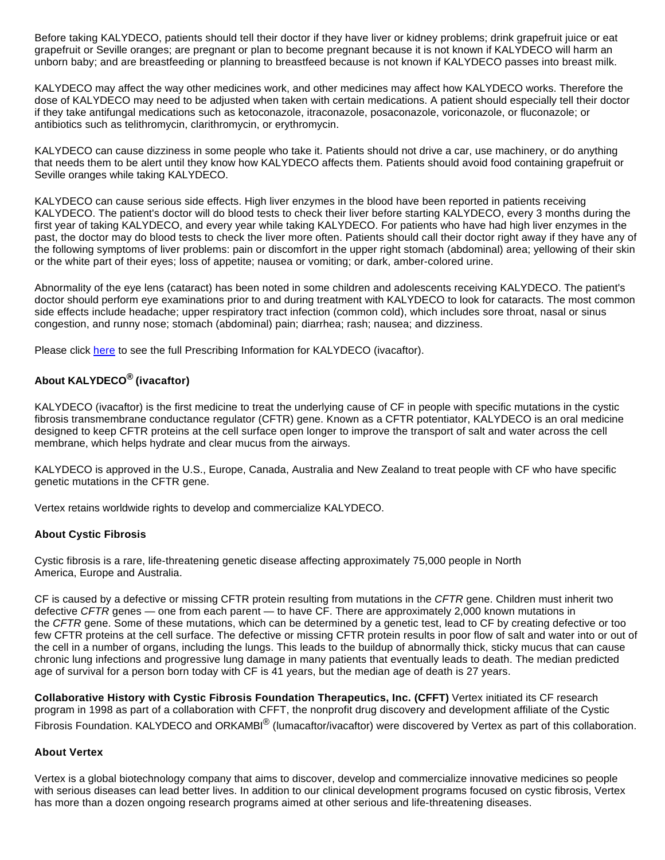Before taking KALYDECO, patients should tell their doctor if they have liver or kidney problems; drink grapefruit juice or eat grapefruit or Seville oranges; are pregnant or plan to become pregnant because it is not known if KALYDECO will harm an unborn baby; and are breastfeeding or planning to breastfeed because is not known if KALYDECO passes into breast milk.

KALYDECO may affect the way other medicines work, and other medicines may affect how KALYDECO works. Therefore the dose of KALYDECO may need to be adjusted when taken with certain medications. A patient should especially tell their doctor if they take antifungal medications such as ketoconazole, itraconazole, posaconazole, voriconazole, or fluconazole; or antibiotics such as telithromycin, clarithromycin, or erythromycin.

KALYDECO can cause dizziness in some people who take it. Patients should not drive a car, use machinery, or do anything that needs them to be alert until they know how KALYDECO affects them. Patients should avoid food containing grapefruit or Seville oranges while taking KALYDECO.

KALYDECO can cause serious side effects. High liver enzymes in the blood have been reported in patients receiving KALYDECO. The patient's doctor will do blood tests to check their liver before starting KALYDECO, every 3 months during the first year of taking KALYDECO, and every year while taking KALYDECO. For patients who have had high liver enzymes in the past, the doctor may do blood tests to check the liver more often. Patients should call their doctor right away if they have any of the following symptoms of liver problems: pain or discomfort in the upper right stomach (abdominal) area; yellowing of their skin or the white part of their eyes; loss of appetite; nausea or vomiting; or dark, amber-colored urine.

Abnormality of the eye lens (cataract) has been noted in some children and adolescents receiving KALYDECO. The patient's doctor should perform eye examinations prior to and during treatment with KALYDECO to look for cataracts. The most common side effects include headache; upper respiratory tract infection (common cold), which includes sore throat, nasal or sinus congestion, and runny nose; stomach (abdominal) pain; diarrhea; rash; nausea; and dizziness.

Please click [here](http://cts.businesswire.com/ct/CT?id=smartlink&url=http%3A%2F%2Fpi.vrtx.com%2Ffiles%2Fuspi_ivacaftor.pdf&esheet=51196210&newsitemid=20151007006509&lan=en-US&anchor=here&index=2&md5=81216b23a9e1d572f77a8f744859eba2) to see the full Prescribing Information for KALYDECO (ivacaftor).

## **About KALYDECO® (ivacaftor)**

KALYDECO (ivacaftor) is the first medicine to treat the underlying cause of CF in people with specific mutations in the cystic fibrosis transmembrane conductance regulator (CFTR) gene. Known as a CFTR potentiator, KALYDECO is an oral medicine designed to keep CFTR proteins at the cell surface open longer to improve the transport of salt and water across the cell membrane, which helps hydrate and clear mucus from the airways.

KALYDECO is approved in the U.S., Europe, Canada, Australia and New Zealand to treat people with CF who have specific genetic mutations in the CFTR gene.

Vertex retains worldwide rights to develop and commercialize KALYDECO.

#### **About Cystic Fibrosis**

Cystic fibrosis is a rare, life-threatening genetic disease affecting approximately 75,000 people in North America, Europe and Australia.

CF is caused by a defective or missing CFTR protein resulting from mutations in the CFTR gene. Children must inherit two defective CFTR genes — one from each parent — to have CF. There are approximately 2,000 known mutations in the CFTR gene. Some of these mutations, which can be determined by a genetic test, lead to CF by creating defective or too few CFTR proteins at the cell surface. The defective or missing CFTR protein results in poor flow of salt and water into or out of the cell in a number of organs, including the lungs. This leads to the buildup of abnormally thick, sticky mucus that can cause chronic lung infections and progressive lung damage in many patients that eventually leads to death. The median predicted age of survival for a person born today with CF is 41 years, but the median age of death is 27 years.

**Collaborative History with Cystic Fibrosis Foundation Therapeutics, Inc. (CFFT)** Vertex initiated its CF research program in 1998 as part of a collaboration with CFFT, the nonprofit drug discovery and development affiliate of the Cystic Fibrosis Foundation. KALYDECO and ORKAMBI<sup>®</sup> (lumacaftor/ivacaftor) were discovered by Vertex as part of this collaboration.

#### **About Vertex**

Vertex is a global biotechnology company that aims to discover, develop and commercialize innovative medicines so people with serious diseases can lead better lives. In addition to our clinical development programs focused on cystic fibrosis, Vertex has more than a dozen ongoing research programs aimed at other serious and life-threatening diseases.